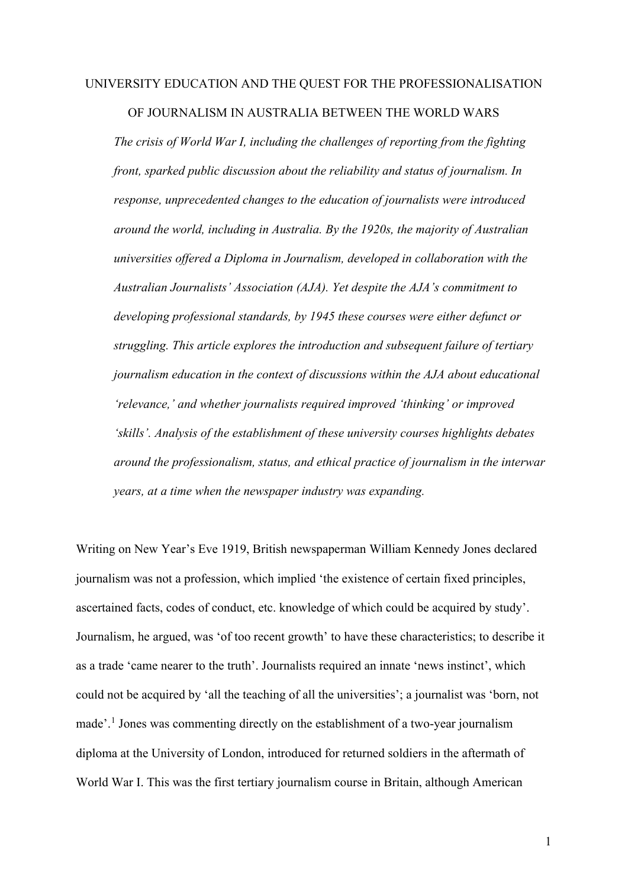## UNIVERSITY EDUCATION AND THE QUEST FOR THE PROFESSIONALISATION OF JOURNALISM IN AUSTRALIA BETWEEN THE WORLD WARS

*The crisis of World War I, including the challenges of reporting from the fighting front, sparked public discussion about the reliability and status of journalism. In response, unprecedented changes to the education of journalists were introduced around the world, including in Australia. By the 1920s, the majority of Australian universities offered a Diploma in Journalism, developed in collaboration with the Australian Journalists' Association (AJA). Yet despite the AJA's commitment to developing professional standards, by 1945 these courses were either defunct or struggling. This article explores the introduction and subsequent failure of tertiary journalism education in the context of discussions within the AJA about educational 'relevance,' and whether journalists required improved 'thinking' or improved 'skills'. Analysis of the establishment of these university courses highlights debates around the professionalism, status, and ethical practice of journalism in the interwar years, at a time when the newspaper industry was expanding.* 

Writing on New Year's Eve 1919, British newspaperman William Kennedy Jones declared journalism was not a profession, which implied 'the existence of certain fixed principles, ascertained facts, codes of conduct, etc. knowledge of which could be acquired by study'. Journalism, he argued, was 'of too recent growth' to have these characteristics; to describe it as a trade 'came nearer to the truth'. Journalists required an innate 'news instinct', which could not be acquired by 'all the teaching of all the universities'; a journalist was 'born, not made'. [1](#page-18-0) Jones was commenting directly on the establishment of a two-year journalism diploma at the University of London, introduced for returned soldiers in the aftermath of World War I. This was the first tertiary journalism course in Britain, although American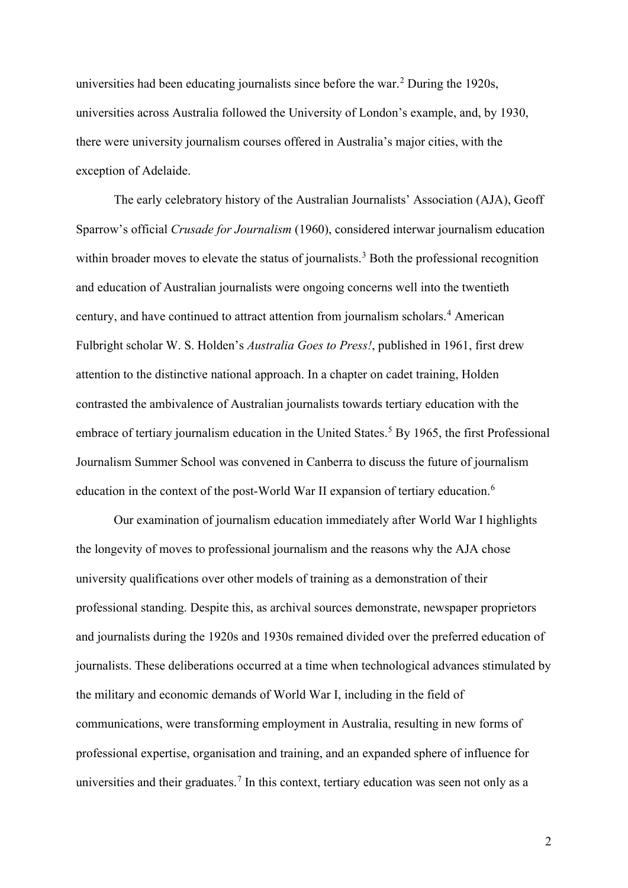universities had been educating journalists since before the war.[2](#page-18-1) During the 1920s, universities across Australia followed the University of London's example, and, by 1930, there were university journalism courses offered in Australia's major cities, with the exception of Adelaide.

The early celebratory history of the Australian Journalists' Association (AJA), Geoff Sparrow's official *Crusade for Journalism* (1960), considered interwar journalism education within broader moves to elevate the status of journalists.<sup>[3](#page-18-2)</sup> Both the professional recognition and education of Australian journalists were ongoing concerns well into the twentieth century, and have continued to attract attention from journalism scholars.[4](#page-18-3) American Fulbright scholar W. S. Holden's *Australia Goes to Press!*, published in 1961, first drew attention to the distinctive national approach. In a chapter on cadet training, Holden contrasted the ambivalence of Australian journalists towards tertiary education with the embrace of tertiary journalism education in the United States. [5](#page-18-4) By 1965, the first Professional Journalism Summer School was convened in Canberra to discuss the future of journalism education in the context of the post-World War II expansion of tertiary education.<sup>[6](#page-18-5)</sup>

Our examination of journalism education immediately after World War I highlights the longevity of moves to professional journalism and the reasons why the AJA chose university qualifications over other models of training as a demonstration of their professional standing. Despite this, as archival sources demonstrate, newspaper proprietors and journalists during the 1920s and 1930s remained divided over the preferred education of journalists. These deliberations occurred at a time when technological advances stimulated by the military and economic demands of World War I, including in the field of communications, were transforming employment in Australia, resulting in new forms of professional expertise, organisation and training, and an expanded sphere of influence for universities and their graduates.<sup>[7](#page-18-6)</sup> In this context, tertiary education was seen not only as a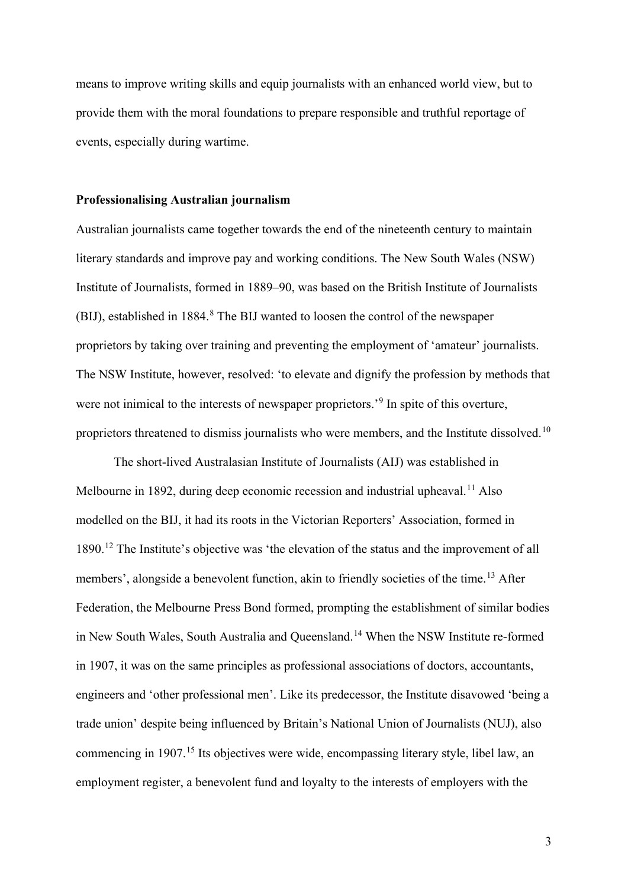means to improve writing skills and equip journalists with an enhanced world view, but to provide them with the moral foundations to prepare responsible and truthful reportage of events, especially during wartime.

## **Professionalising Australian journalism**

Australian journalists came together towards the end of the nineteenth century to maintain literary standards and improve pay and working conditions. The New South Wales (NSW) Institute of Journalists, formed in 1889–90, was based on the British Institute of Journalists (BIJ), established in 1[8](#page-18-7)84.<sup>8</sup> The BIJ wanted to loosen the control of the newspaper proprietors by taking over training and preventing the employment of 'amateur' journalists. The NSW Institute, however, resolved: 'to elevate and dignify the profession by methods that were not inimical to the interests of newspaper proprietors.<sup>[9](#page-19-0)</sup> In spite of this overture, proprietors threatened to dismiss journalists who were members, and the Institute dissolved.<sup>[10](#page-19-1)</sup>

The short-lived Australasian Institute of Journalists (AIJ) was established in Melbourne in 1892, during deep economic recession and industrial upheaval.<sup>[11](#page-19-2)</sup> Also modelled on the BIJ, it had its roots in the Victorian Reporters' Association, formed in 1890.[12](#page-19-3) The Institute's objective was 'the elevation of the status and the improvement of all members', alongside a benevolent function, akin to friendly societies of the time.<sup>[13](#page-19-4)</sup> After Federation, the Melbourne Press Bond formed, prompting the establishment of similar bodies in New South Wales, South Australia and Queensland.<sup>[14](#page-19-5)</sup> When the NSW Institute re-formed in 1907, it was on the same principles as professional associations of doctors, accountants, engineers and 'other professional men'. Like its predecessor, the Institute disavowed 'being a trade union' despite being influenced by Britain's National Union of Journalists (NUJ), also commencing in 1907.<sup>[15](#page-19-6)</sup> Its objectives were wide, encompassing literary style, libel law, an employment register, a benevolent fund and loyalty to the interests of employers with the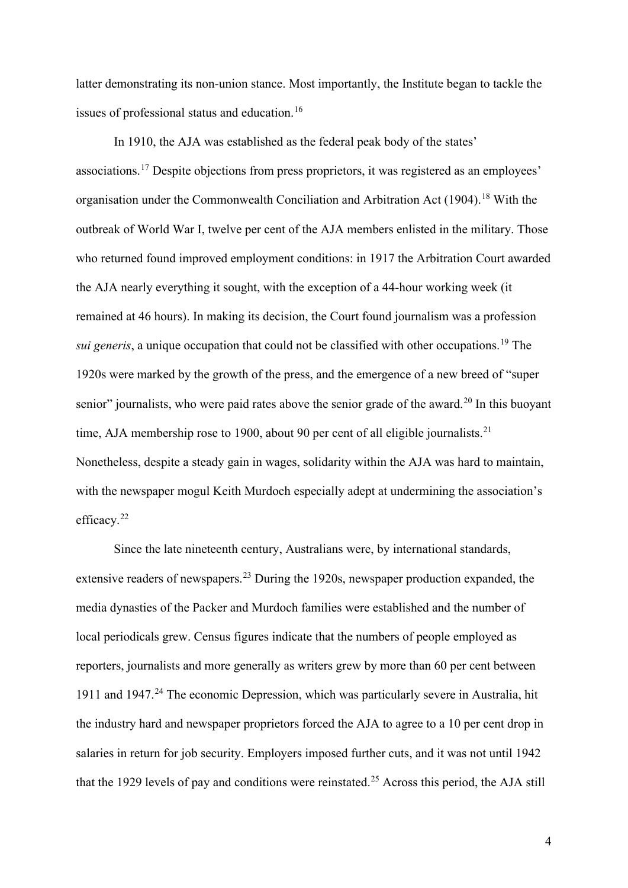latter demonstrating its non-union stance. Most importantly, the Institute began to tackle the issues of professional status and education.[16](#page-19-7)

In 1910, the AJA was established as the federal peak body of the states' associations.[17](#page-19-8) Despite objections from press proprietors, it was registered as an employees' organisation under the Commonwealth Conciliation and Arbitration Act (1904).<sup>[18](#page-19-9)</sup> With the outbreak of World War I, twelve per cent of the AJA members enlisted in the military. Those who returned found improved employment conditions: in 1917 the Arbitration Court awarded the AJA nearly everything it sought, with the exception of a 44-hour working week (it remained at 46 hours). In making its decision, the Court found journalism was a profession *sui generis*, a unique occupation that could not be classified with other occupations. [19](#page-19-10) The 1920s were marked by the growth of the press, and the emergence of a new breed of "super senior" journalists, who were paid rates above the senior grade of the award.<sup>[20](#page-19-11)</sup> In this buoyant time, AJA membership rose to 1900, about 90 per cent of all eligible journalists.<sup>[21](#page-19-12)</sup> Nonetheless, despite a steady gain in wages, solidarity within the AJA was hard to maintain, with the newspaper mogul Keith Murdoch especially adept at undermining the association's efficacy.<sup>[22](#page-19-13)</sup>

Since the late nineteenth century, Australians were, by international standards, extensive readers of newspapers.<sup>[23](#page-19-14)</sup> During the 1920s, newspaper production expanded, the media dynasties of the Packer and Murdoch families were established and the number of local periodicals grew. Census figures indicate that the numbers of people employed as reporters, journalists and more generally as writers grew by more than 60 per cent between 1911 and 1947.<sup>[24](#page-19-15)</sup> The economic Depression, which was particularly severe in Australia, hit the industry hard and newspaper proprietors forced the AJA to agree to a 10 per cent drop in salaries in return for job security. Employers imposed further cuts, and it was not until 1942 that the 1929 levels of pay and conditions were reinstated.[25](#page-20-0) Across this period, the AJA still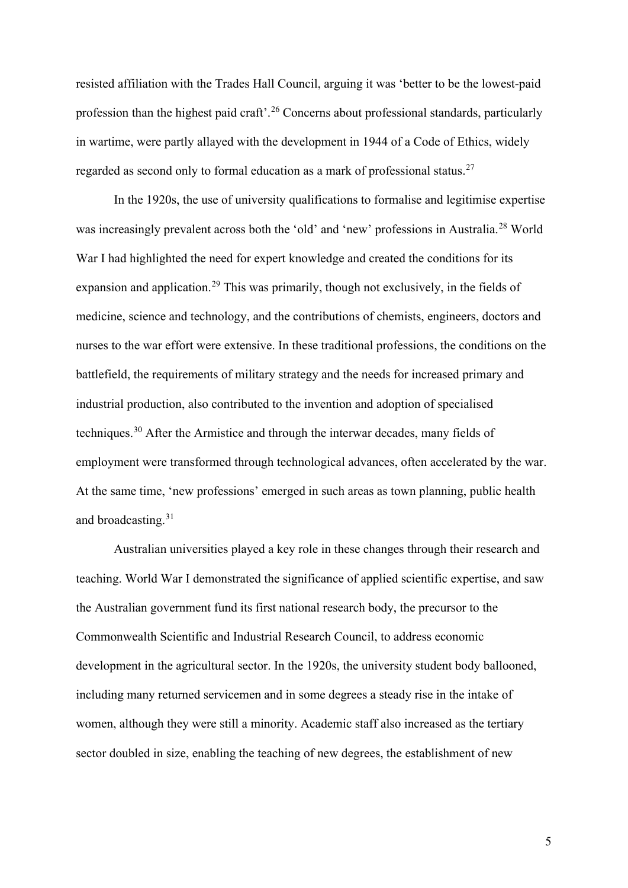resisted affiliation with the Trades Hall Council, arguing it was 'better to be the lowest-paid profession than the highest paid craft'.[26](#page-20-1) Concerns about professional standards, particularly in wartime, were partly allayed with the development in 1944 of a Code of Ethics, widely regarded as second only to formal education as a mark of professional status.<sup>[27](#page-20-2)</sup>

In the 1920s, the use of university qualifications to formalise and legitimise expertise was increasingly prevalent across both the 'old' and 'new' professions in Australia.[28](#page-20-3) World War I had highlighted the need for expert knowledge and created the conditions for its expansion and application.<sup>[29](#page-20-4)</sup> This was primarily, though not exclusively, in the fields of medicine, science and technology, and the contributions of chemists, engineers, doctors and nurses to the war effort were extensive. In these traditional professions, the conditions on the battlefield, the requirements of military strategy and the needs for increased primary and industrial production, also contributed to the invention and adoption of specialised techniques.<sup>[30](#page-20-5)</sup> After the Armistice and through the interwar decades, many fields of employment were transformed through technological advances, often accelerated by the war. At the same time, 'new professions' emerged in such areas as town planning, public health and broadcasting.<sup>[31](#page-20-6)</sup>

Australian universities played a key role in these changes through their research and teaching. World War I demonstrated the significance of applied scientific expertise, and saw the Australian government fund its first national research body, the precursor to the Commonwealth Scientific and Industrial Research Council, to address economic development in the agricultural sector. In the 1920s, the university student body ballooned, including many returned servicemen and in some degrees a steady rise in the intake of women, although they were still a minority. Academic staff also increased as the tertiary sector doubled in size, enabling the teaching of new degrees, the establishment of new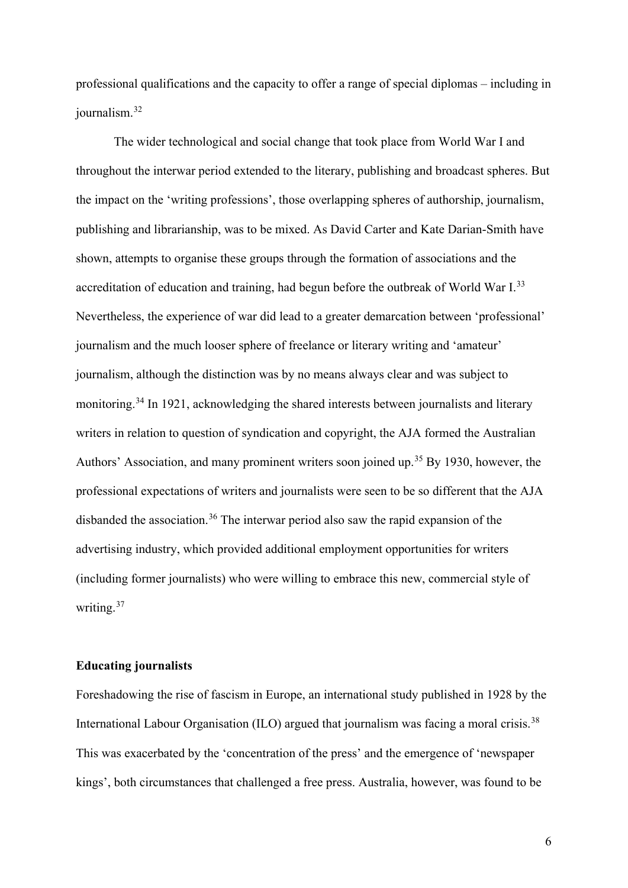professional qualifications and the capacity to offer a range of special diplomas – including in journalism.[32](#page-20-7)

The wider technological and social change that took place from World War I and throughout the interwar period extended to the literary, publishing and broadcast spheres. But the impact on the 'writing professions', those overlapping spheres of authorship, journalism, publishing and librarianship, was to be mixed. As David Carter and Kate Darian-Smith have shown, attempts to organise these groups through the formation of associations and the accreditation of education and training, had begun before the outbreak of World War I.<sup>[33](#page-20-8)</sup> Nevertheless, the experience of war did lead to a greater demarcation between 'professional' journalism and the much looser sphere of freelance or literary writing and 'amateur' journalism, although the distinction was by no means always clear and was subject to monitoring.<sup>[34](#page-20-9)</sup> In 1921, acknowledging the shared interests between journalists and literary writers in relation to question of syndication and copyright, the AJA formed the Australian Authors' Association, and many prominent writers soon joined up.<sup>[35](#page-20-10)</sup> By 1930, however, the professional expectations of writers and journalists were seen to be so different that the AJA disbanded the association.<sup>[36](#page-20-11)</sup> The interwar period also saw the rapid expansion of the advertising industry, which provided additional employment opportunities for writers (including former journalists) who were willing to embrace this new, commercial style of writing.[37](#page-20-12)

## **Educating journalists**

Foreshadowing the rise of fascism in Europe, an international study published in 1928 by the International Labour Organisation (ILO) argued that journalism was facing a moral crisis.<sup>[38](#page-20-13)</sup> This was exacerbated by the 'concentration of the press' and the emergence of 'newspaper kings', both circumstances that challenged a free press. Australia, however, was found to be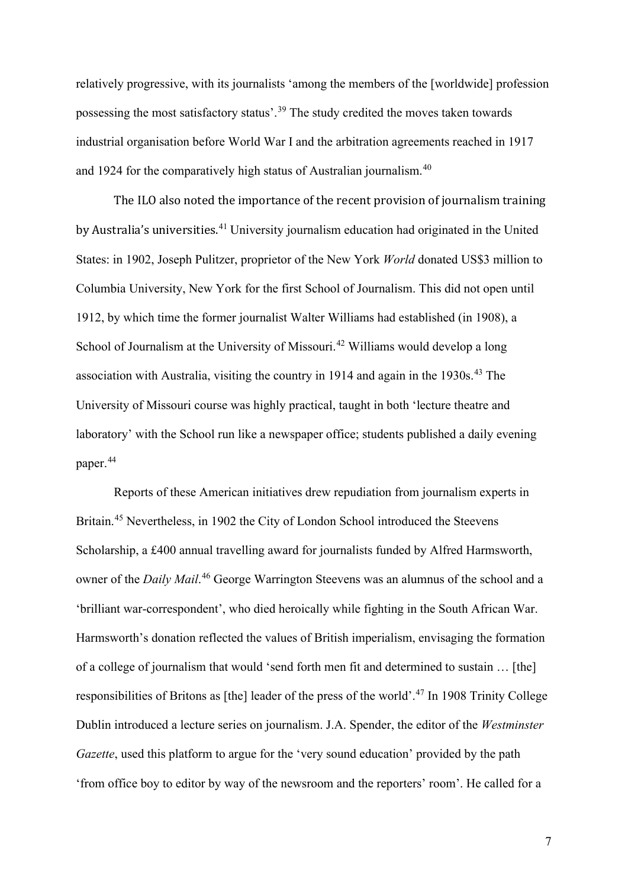relatively progressive, with its journalists 'among the members of the [worldwide] profession possessing the most satisfactory status'.[39](#page-20-14) The study credited the moves taken towards industrial organisation before World War I and the arbitration agreements reached in 1917 and 1924 for the comparatively high status of Australian journalism.[40](#page-20-15)

The ILO also noted the importance of the recent provision of journalism training by Australia's universities.<sup>[41](#page-20-16)</sup> University journalism education had originated in the United States: in 1902, Joseph Pulitzer, proprietor of the New York *World* donated US\$3 million to Columbia University, New York for the first School of Journalism. This did not open until 1912, by which time the former journalist Walter Williams had established (in 1908), a School of Journalism at the University of Missouri.<sup>[42](#page-20-17)</sup> Williams would develop a long association with Australia, visiting the country in 1914 and again in the 1930s.<sup>[43](#page-20-18)</sup> The University of Missouri course was highly practical, taught in both 'lecture theatre and laboratory' with the School run like a newspaper office; students published a daily evening paper.<sup>[44](#page-21-0)</sup>

Reports of these American initiatives drew repudiation from journalism experts in Britain.<sup>[45](#page-21-1)</sup> Nevertheless, in 1902 the City of London School introduced the Steevens Scholarship, a £400 annual travelling award for journalists funded by Alfred Harmsworth, owner of the *Daily Mail*. [46](#page-21-2) George Warrington Steevens was an alumnus of the school and a 'brilliant war-correspondent', who died heroically while fighting in the South African War. Harmsworth's donation reflected the values of British imperialism, envisaging the formation of a college of journalism that would 'send forth men fit and determined to sustain … [the] responsibilities of Britons as [the] leader of the press of the world'.[47](#page-21-3) In 1908 Trinity College Dublin introduced a lecture series on journalism. J.A. Spender, the editor of the *Westminster Gazette*, used this platform to argue for the 'very sound education' provided by the path 'from office boy to editor by way of the newsroom and the reporters' room'. He called for a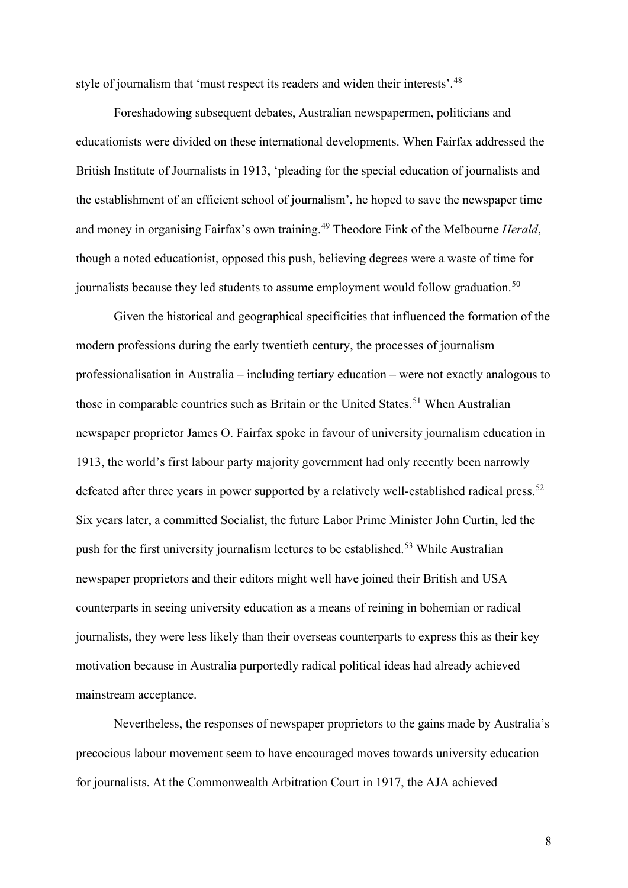style of journalism that 'must respect its readers and widen their interests'.<sup>[48](#page-21-4)</sup>

Foreshadowing subsequent debates, Australian newspapermen, politicians and educationists were divided on these international developments. When Fairfax addressed the British Institute of Journalists in 1913, 'pleading for the special education of journalists and the establishment of an efficient school of journalism', he hoped to save the newspaper time and money in organising Fairfax's own training.[49](#page-21-5) Theodore Fink of the Melbourne *Herald*, though a noted educationist, opposed this push, believing degrees were a waste of time for journalists because they led students to assume employment would follow graduation.<sup>[50](#page-21-6)</sup>

Given the historical and geographical specificities that influenced the formation of the modern professions during the early twentieth century, the processes of journalism professionalisation in Australia – including tertiary education – were not exactly analogous to those in comparable countries such as Britain or the United States.<sup>[51](#page-21-7)</sup> When Australian newspaper proprietor James O. Fairfax spoke in favour of university journalism education in 1913, the world's first labour party majority government had only recently been narrowly defeated after three years in power supported by a relatively well-established radical press.<sup>[52](#page-21-8)</sup> Six years later, a committed Socialist, the future Labor Prime Minister John Curtin, led the push for the first university journalism lectures to be established.<sup>[53](#page-21-9)</sup> While Australian newspaper proprietors and their editors might well have joined their British and USA counterparts in seeing university education as a means of reining in bohemian or radical journalists, they were less likely than their overseas counterparts to express this as their key motivation because in Australia purportedly radical political ideas had already achieved mainstream acceptance.

Nevertheless, the responses of newspaper proprietors to the gains made by Australia's precocious labour movement seem to have encouraged moves towards university education for journalists. At the Commonwealth Arbitration Court in 1917, the AJA achieved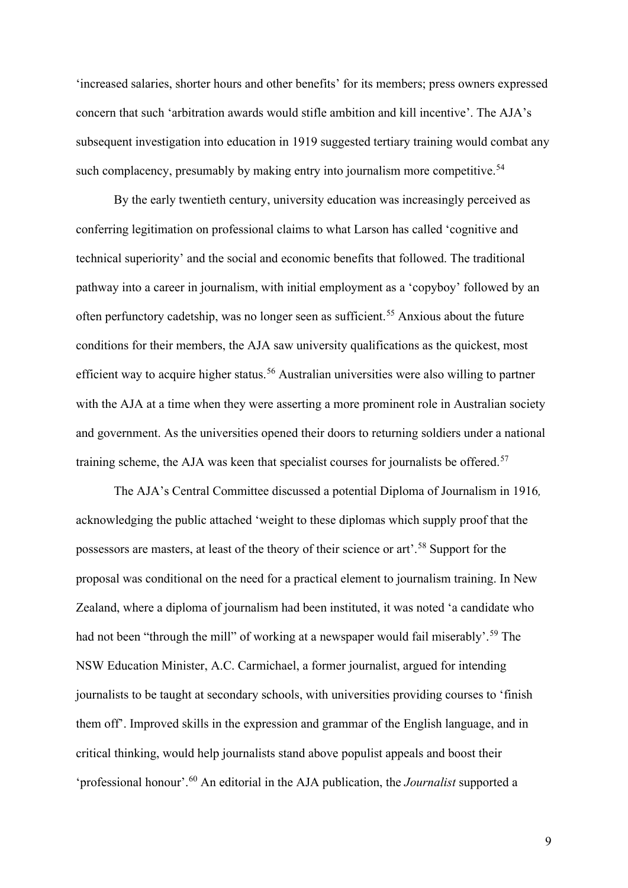'increased salaries, shorter hours and other benefits' for its members; press owners expressed concern that such 'arbitration awards would stifle ambition and kill incentive'. The AJA's subsequent investigation into education in 1919 suggested tertiary training would combat any such complacency, presumably by making entry into journalism more competitive.<sup>54</sup>

By the early twentieth century, university education was increasingly perceived as conferring legitimation on professional claims to what Larson has called 'cognitive and technical superiority' and the social and economic benefits that followed. The traditional pathway into a career in journalism, with initial employment as a 'copyboy' followed by an often perfunctory cadetship, was no longer seen as sufficient.<sup>[55](#page-21-11)</sup> Anxious about the future conditions for their members, the AJA saw university qualifications as the quickest, most efficient way to acquire higher status.<sup>[56](#page-21-12)</sup> Australian universities were also willing to partner with the AJA at a time when they were asserting a more prominent role in Australian society and government. As the universities opened their doors to returning soldiers under a national training scheme, the AJA was keen that specialist courses for journalists be offered.<sup>[57](#page-21-13)</sup>

The AJA's Central Committee discussed a potential Diploma of Journalism in 1916*,*  acknowledging the public attached 'weight to these diplomas which supply proof that the possessors are masters, at least of the theory of their science or art'.[58](#page-22-0) Support for the proposal was conditional on the need for a practical element to journalism training. In New Zealand, where a diploma of journalism had been instituted, it was noted 'a candidate who had not been "through the mill" of working at a newspaper would fail miserably'.<sup>[59](#page-22-1)</sup> The NSW Education Minister, A.C. Carmichael, a former journalist, argued for intending journalists to be taught at secondary schools, with universities providing courses to 'finish them off'. Improved skills in the expression and grammar of the English language, and in critical thinking, would help journalists stand above populist appeals and boost their 'professional honour'.[60](#page-22-2) An editorial in the AJA publication, the *Journalist* supported a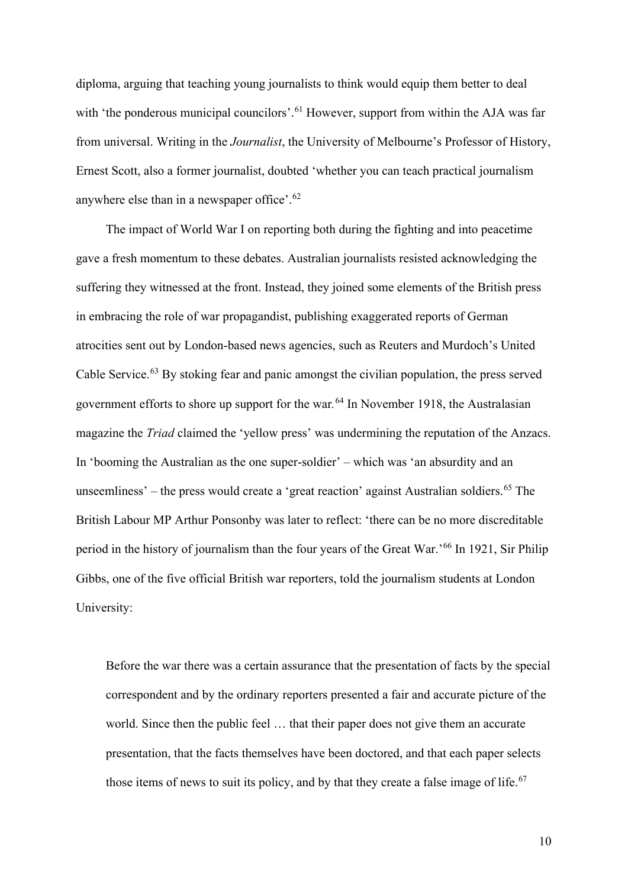diploma, arguing that teaching young journalists to think would equip them better to deal with 'the ponderous municipal councilors'.<sup>[61](#page-22-3)</sup> However, support from within the AJA was far from universal. Writing in the *Journalist*, the University of Melbourne's Professor of History, Ernest Scott, also a former journalist, doubted 'whether you can teach practical journalism anywhere else than in a newspaper office'.<sup>[62](#page-22-4)</sup>

The impact of World War I on reporting both during the fighting and into peacetime gave a fresh momentum to these debates. Australian journalists resisted acknowledging the suffering they witnessed at the front. Instead, they joined some elements of the British press in embracing the role of war propagandist, publishing exaggerated reports of German atrocities sent out by London-based news agencies, such as Reuters and Murdoch's United Cable Service.<sup>[63](#page-22-5)</sup> By stoking fear and panic amongst the civilian population, the press served government efforts to shore up support for the war*.* [64](#page-22-6) In November 1918, the Australasian magazine the *Triad* claimed the 'yellow press' was undermining the reputation of the Anzacs. In 'booming the Australian as the one super-soldier' – which was 'an absurdity and an unseemliness' – the press would create a 'great reaction' against Australian soldiers.<sup>[65](#page-22-7)</sup> The British Labour MP Arthur Ponsonby was later to reflect: 'there can be no more discreditable period in the history of journalism than the four years of the Great War.'[66](#page-22-8) In 1921, Sir Philip Gibbs, one of the five official British war reporters, told the journalism students at London University:

Before the war there was a certain assurance that the presentation of facts by the special correspondent and by the ordinary reporters presented a fair and accurate picture of the world. Since then the public feel … that their paper does not give them an accurate presentation, that the facts themselves have been doctored, and that each paper selects those items of news to suit its policy, and by that they create a false image of life.<sup>[67](#page-22-9)</sup>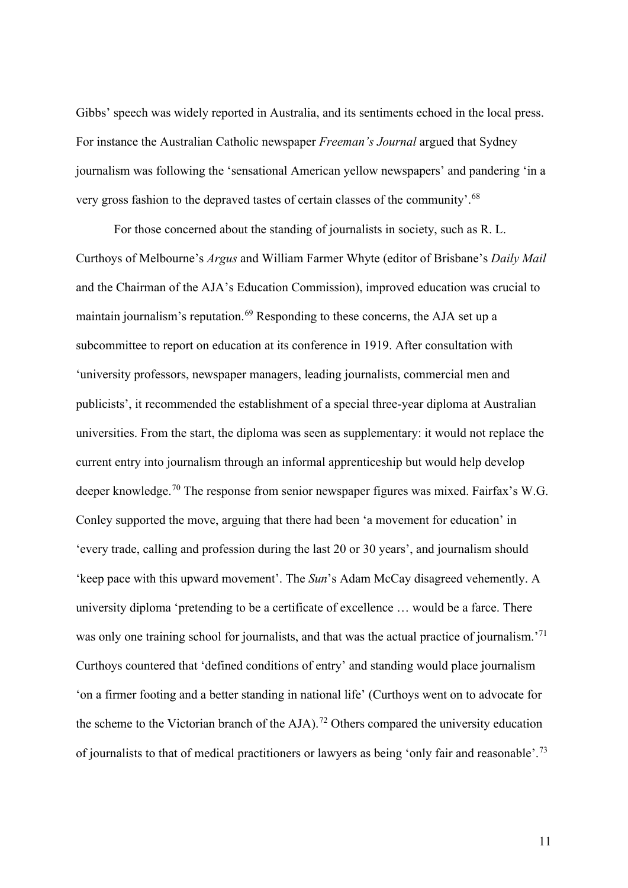Gibbs' speech was widely reported in Australia, and its sentiments echoed in the local press. For instance the Australian Catholic newspaper *Freeman's Journal* argued that Sydney journalism was following the 'sensational American yellow newspapers' and pandering 'in a very gross fashion to the depraved tastes of certain classes of the community'.[68](#page-22-10)

For those concerned about the standing of journalists in society, such as R. L. Curthoys of Melbourne's *Argus* and William Farmer Whyte (editor of Brisbane's *Daily Mail* and the Chairman of the AJA's Education Commission), improved education was crucial to maintain journalism's reputation.<sup>[69](#page-22-11)</sup> Responding to these concerns, the AJA set up a subcommittee to report on education at its conference in 1919. After consultation with 'university professors, newspaper managers, leading journalists, commercial men and publicists', it recommended the establishment of a special three-year diploma at Australian universities. From the start, the diploma was seen as supplementary: it would not replace the current entry into journalism through an informal apprenticeship but would help develop deeper knowledge.<sup>[70](#page-22-12)</sup> The response from senior newspaper figures was mixed. Fairfax's W.G. Conley supported the move, arguing that there had been 'a movement for education' in 'every trade, calling and profession during the last 20 or 30 years', and journalism should 'keep pace with this upward movement'. The *Sun*'s Adam McCay disagreed vehemently. A university diploma 'pretending to be a certificate of excellence … would be a farce. There was only one training school for journalists, and that was the actual practice of journalism.<sup>'[71](#page-22-13)</sup> Curthoys countered that 'defined conditions of entry' and standing would place journalism 'on a firmer footing and a better standing in national life' (Curthoys went on to advocate for the scheme to the Victorian branch of the  $AJA$ ).<sup>[72](#page-22-14)</sup> Others compared the university education of journalists to that of medical practitioners or lawyers as being 'only fair and reasonable'.[73](#page-23-0)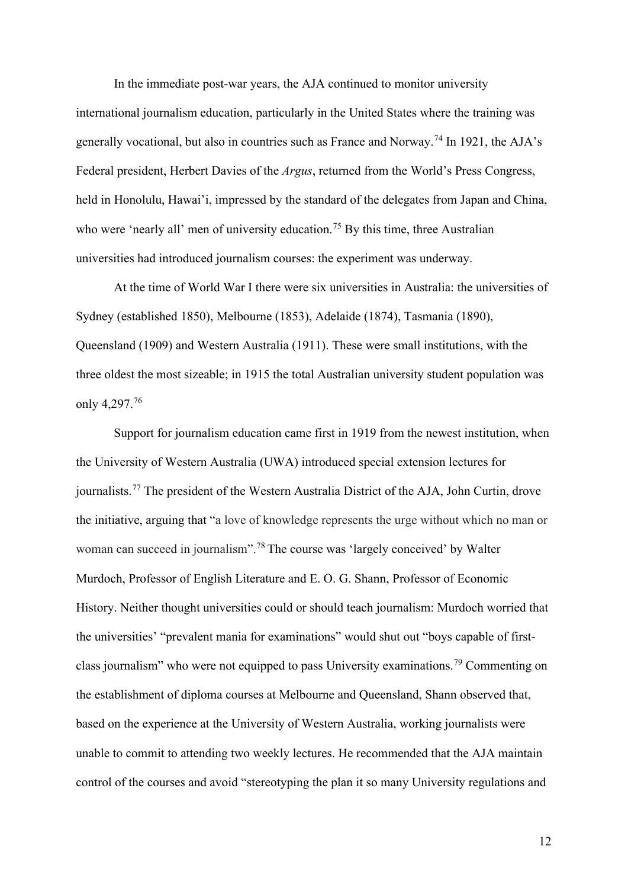In the immediate post-war years, the AJA continued to monitor university international journalism education, particularly in the United States where the training was generally vocational, but also in countries such as France and Norway.[74](#page-23-1) In 1921, the AJA's Federal president, Herbert Davies of the *Argus*, returned from the World's Press Congress, held in Honolulu, Hawai'i, impressed by the standard of the delegates from Japan and China, who were 'nearly all' men of university education.<sup>[75](#page-23-2)</sup> By this time, three Australian universities had introduced journalism courses: the experiment was underway.

At the time of World War I there were six universities in Australia: the universities of Sydney (established 1850), Melbourne (1853), Adelaide (1874), Tasmania (1890), Queensland (1909) and Western Australia (1911). These were small institutions, with the three oldest the most sizeable; in 1915 the total Australian university student population was only 4,297.<sup>[76](#page-23-3)</sup>

Support for journalism education came first in 1919 from the newest institution, when the University of Western Australia (UWA) introduced special extension lectures for journalists.<sup>[77](#page-23-4)</sup> The president of the Western Australia District of the AJA, John Curtin, drove the initiative, arguing that "a love of knowledge represents the urge without which no man or woman can succeed in journalism".<sup>[78](#page-23-5)</sup> The course was 'largely conceived' by Walter Murdoch, Professor of English Literature and E. O. G. Shann, Professor of Economic History. Neither thought universities could or should teach journalism: Murdoch worried that the universities' "prevalent mania for examinations" would shut out "boys capable of firstclass journalism" who were not equipped to pass University examinations.[79](#page-23-6) Commenting on the establishment of diploma courses at Melbourne and Queensland, Shann observed that, based on the experience at the University of Western Australia, working journalists were unable to commit to attending two weekly lectures. He recommended that the AJA maintain control of the courses and avoid "stereotyping the plan it so many University regulations and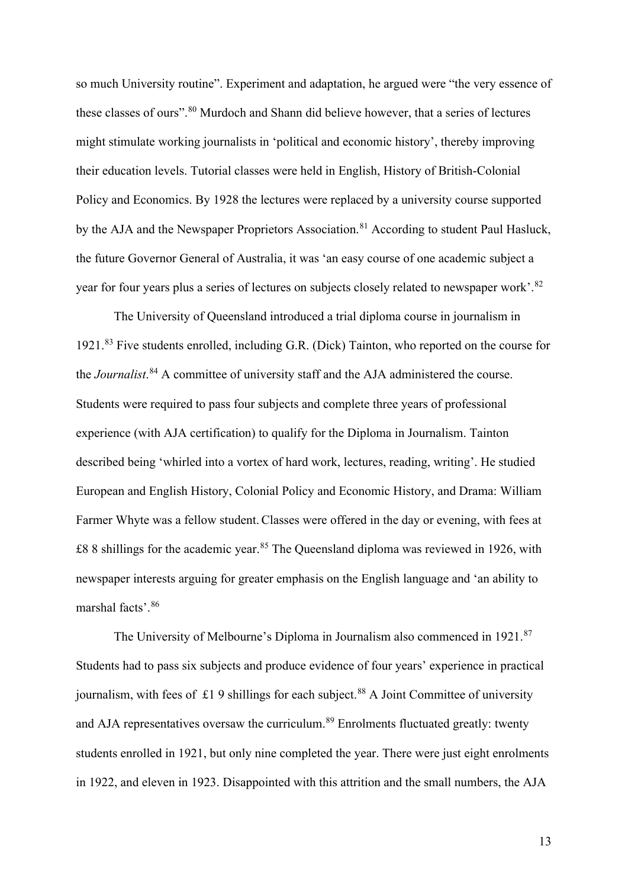so much University routine". Experiment and adaptation, he argued were "the very essence of these classes of ours".<sup>[80](#page-23-7)</sup> Murdoch and Shann did believe however, that a series of lectures might stimulate working journalists in 'political and economic history', thereby improving their education levels. Tutorial classes were held in English, History of British-Colonial Policy and Economics. By 1928 the lectures were replaced by a university course supported by the AJA and the Newspaper Proprietors Association.<sup>[81](#page-23-8)</sup> According to student Paul Hasluck, the future Governor General of Australia, it was 'an easy course of one academic subject a year for four years plus a series of lectures on subjects closely related to newspaper work'.<sup>[82](#page-23-9)</sup>

The University of Queensland introduced a trial diploma course in journalism in 1921.[83](#page-23-10) Five students enrolled, including G.R. (Dick) Tainton, who reported on the course for the *Journalist*. [84](#page-23-11) A committee of university staff and the AJA administered the course. Students were required to pass four subjects and complete three years of professional experience (with AJA certification) to qualify for the Diploma in Journalism. Tainton described being 'whirled into a vortex of hard work, lectures, reading, writing'. He studied European and English History, Colonial Policy and Economic History, and Drama: William Farmer Whyte was a fellow student.Classes were offered in the day or evening, with fees at  $\pounds88$  shillings for the academic year.<sup>[85](#page-23-12)</sup> The Queensland diploma was reviewed in 1926, with newspaper interests arguing for greater emphasis on the English language and 'an ability to marshal facts'.[86](#page-24-0)

The University of Melbourne's Diploma in Journalism also commenced in 1921.<sup>[87](#page-24-1)</sup> Students had to pass six subjects and produce evidence of four years' experience in practical journalism, with fees of £1.9 shillings for each subject.<sup>[88](#page-24-2)</sup> A Joint Committee of university and AJA representatives oversaw the curriculum.<sup>[89](#page-24-3)</sup> Enrolments fluctuated greatly: twenty students enrolled in 1921, but only nine completed the year. There were just eight enrolments in 1922, and eleven in 1923. Disappointed with this attrition and the small numbers, the AJA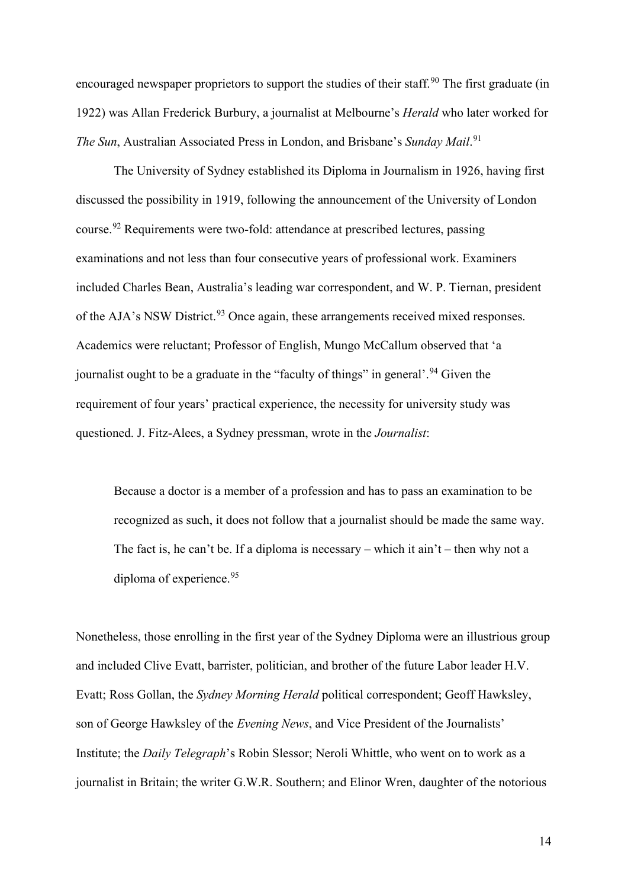encouraged newspaper proprietors to support the studies of their staff.<sup>[90](#page-24-4)</sup> The first graduate (in 1922) was Allan Frederick Burbury, a journalist at Melbourne's *Herald* who later worked for *The Sun*, Australian Associated Press in London, and Brisbane's *Sunday Mail*. [91](#page-24-5)

The University of Sydney established its Diploma in Journalism in 1926, having first discussed the possibility in 1919, following the announcement of the University of London course.[92](#page-24-6) Requirements were two-fold: attendance at prescribed lectures, passing examinations and not less than four consecutive years of professional work. Examiners included Charles Bean, Australia's leading war correspondent, and W. P. Tiernan, president of the AJA's NSW District.<sup>[93](#page-24-7)</sup> Once again, these arrangements received mixed responses. Academics were reluctant; Professor of English, Mungo McCallum observed that 'a journalist ought to be a graduate in the "faculty of things" in general'.<sup>[94](#page-24-8)</sup> Given the requirement of four years' practical experience, the necessity for university study was questioned. J. Fitz-Alees, a Sydney pressman, wrote in the *Journalist*:

Because a doctor is a member of a profession and has to pass an examination to be recognized as such, it does not follow that a journalist should be made the same way. The fact is, he can't be. If a diploma is necessary – which it ain't – then why not a diploma of experience.<sup>[95](#page-24-9)</sup>

Nonetheless, those enrolling in the first year of the Sydney Diploma were an illustrious group and included Clive Evatt, barrister, politician, and brother of the future Labor leader H.V. Evatt; Ross Gollan, the *Sydney Morning Herald* political correspondent; Geoff Hawksley, son of George Hawksley of the *Evening News*, and Vice President of the Journalists' Institute; the *Daily Telegraph*'s Robin Slessor; Neroli Whittle, who went on to work as a journalist in Britain; the writer G.W.R. Southern; and Elinor Wren, daughter of the notorious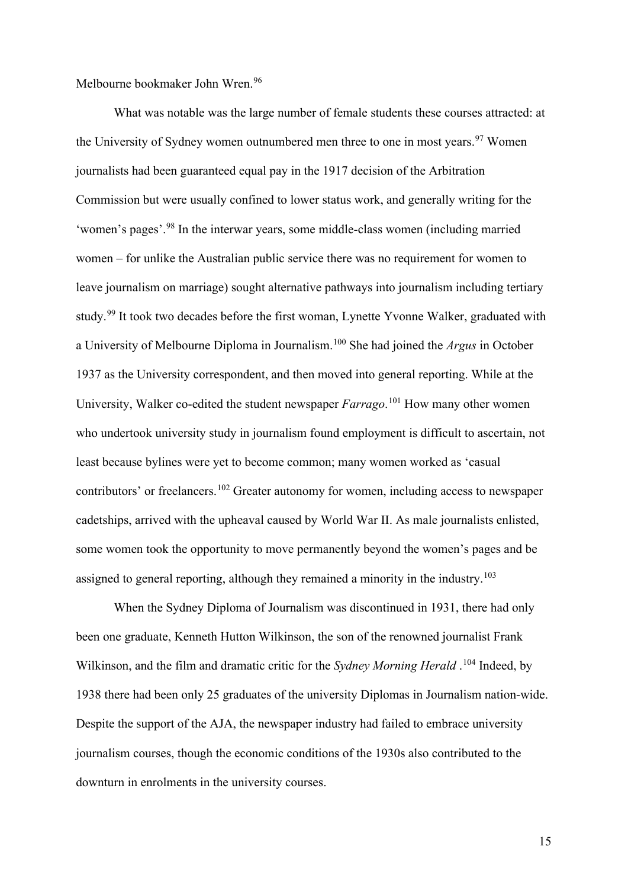Melbourne bookmaker John Wren.<sup>[96](#page-24-10)</sup>

What was notable was the large number of female students these courses attracted: at the University of Sydney women outnumbered men three to one in most years.<sup>[97](#page-24-11)</sup> Women journalists had been guaranteed equal pay in the 1917 decision of the Arbitration Commission but were usually confined to lower status work, and generally writing for the 'women's pages'.[98](#page-24-12) In the interwar years, some middle-class women (including married women – for unlike the Australian public service there was no requirement for women to leave journalism on marriage) sought alternative pathways into journalism including tertiary study.<sup>[99](#page-24-13)</sup> It took two decades before the first woman, Lynette Yvonne Walker, graduated with a University of Melbourne Diploma in Journalism. [100](#page-24-14) She had joined the *Argus* in October 1937 as the University correspondent, and then moved into general reporting. While at the University, Walker co-edited the student newspaper *Farrago*. [101](#page-24-15) How many other women who undertook university study in journalism found employment is difficult to ascertain, not least because bylines were yet to become common; many women worked as 'casual contributors' or freelancers.[102](#page-25-0) Greater autonomy for women, including access to newspaper cadetships, arrived with the upheaval caused by World War II. As male journalists enlisted, some women took the opportunity to move permanently beyond the women's pages and be assigned to general reporting, although they remained a minority in the industry.<sup>[103](#page-25-1)</sup>

When the Sydney Diploma of Journalism was discontinued in 1931, there had only been one graduate, Kenneth Hutton Wilkinson, the son of the renowned journalist Frank Wilkinson, and the film and dramatic critic for the *Sydney Morning Herald* . [104](#page-25-2) Indeed, by 1938 there had been only 25 graduates of the university Diplomas in Journalism nation-wide. Despite the support of the AJA, the newspaper industry had failed to embrace university journalism courses, though the economic conditions of the 1930s also contributed to the downturn in enrolments in the university courses.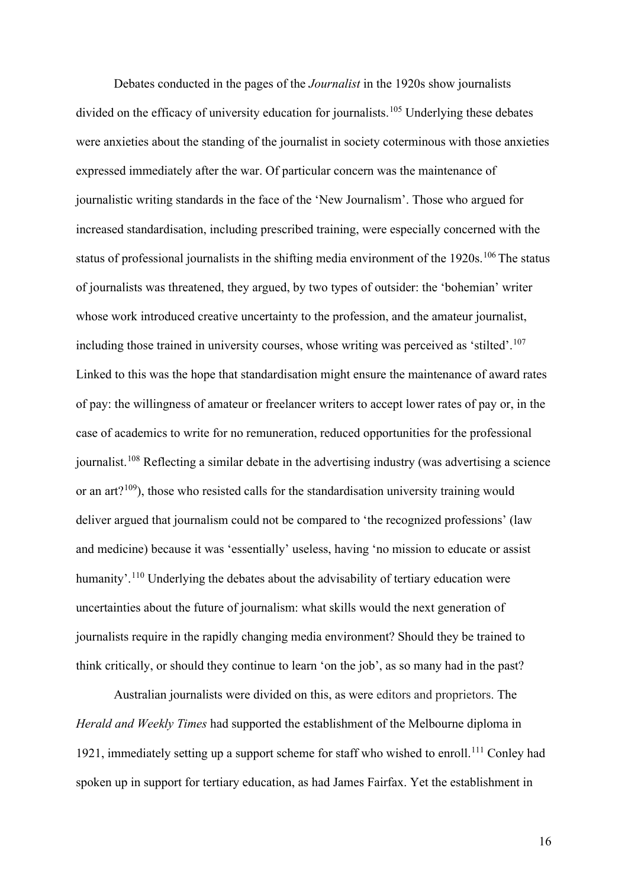Debates conducted in the pages of the *Journalist* in the 1920s show journalists divided on the efficacy of university education for journalists.<sup>[105](#page-25-3)</sup> Underlying these debates were anxieties about the standing of the journalist in society coterminous with those anxieties expressed immediately after the war. Of particular concern was the maintenance of journalistic writing standards in the face of the 'New Journalism'. Those who argued for increased standardisation, including prescribed training, were especially concerned with the status of professional journalists in the shifting media environment of the 1920s.<sup>[106](#page-25-4)</sup> The status of journalists was threatened, they argued, by two types of outsider: the 'bohemian' writer whose work introduced creative uncertainty to the profession, and the amateur journalist, including those trained in university courses, whose writing was perceived as 'stilted'.[107](#page-25-5) Linked to this was the hope that standardisation might ensure the maintenance of award rates of pay: the willingness of amateur or freelancer writers to accept lower rates of pay or, in the case of academics to write for no remuneration, reduced opportunities for the professional journalist.<sup>[108](#page-25-6)</sup> Reflecting a similar debate in the advertising industry (was advertising a science or an art?<sup>109</sup>), those who resisted calls for the standardisation university training would deliver argued that journalism could not be compared to 'the recognized professions' (law and medicine) because it was 'essentially' useless, having 'no mission to educate or assist humanity'.<sup>[110](#page-25-8)</sup> Underlying the debates about the advisability of tertiary education were uncertainties about the future of journalism: what skills would the next generation of journalists require in the rapidly changing media environment? Should they be trained to think critically, or should they continue to learn 'on the job', as so many had in the past?

Australian journalists were divided on this, as were editors and proprietors. The *Herald and Weekly Times* had supported the establishment of the Melbourne diploma in 1921, immediately setting up a support scheme for staff who wished to enroll.<sup>[111](#page-25-9)</sup> Conley had spoken up in support for tertiary education, as had James Fairfax. Yet the establishment in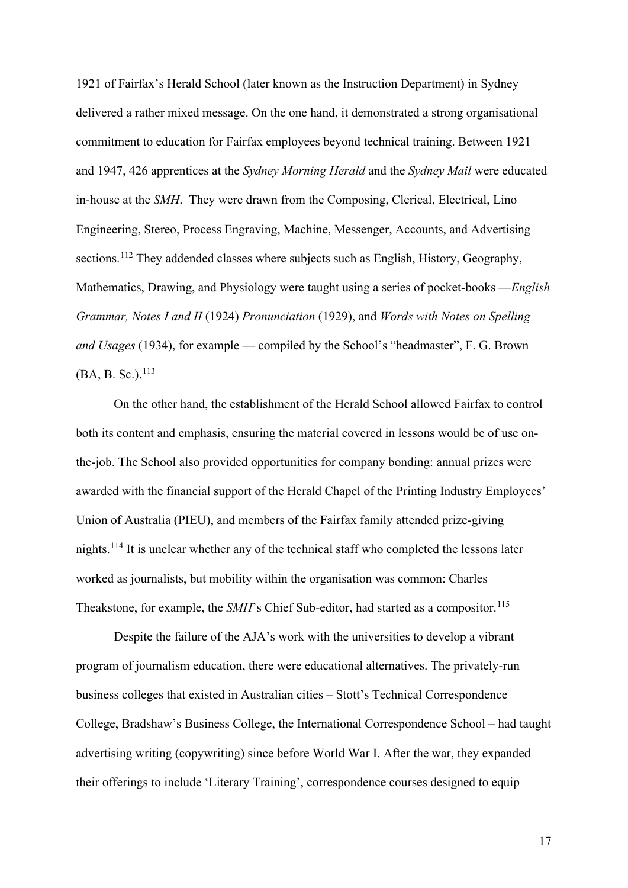1921 of Fairfax's Herald School (later known as the Instruction Department) in Sydney delivered a rather mixed message. On the one hand, it demonstrated a strong organisational commitment to education for Fairfax employees beyond technical training. Between 1921 and 1947, 426 apprentices at the *Sydney Morning Herald* and the *Sydney Mail* were educated in-house at the *SMH*. They were drawn from the Composing, Clerical, Electrical, Lino Engineering, Stereo, Process Engraving, Machine, Messenger, Accounts, and Advertising sections.<sup>[112](#page-25-10)</sup> They addended classes where subjects such as English, History, Geography, Mathematics, Drawing, and Physiology were taught using a series of pocket-books —*English Grammar, Notes I and II* (1924) *Pronunciation* (1929), and *Words with Notes on Spelling and Usages* (1934), for example — compiled by the School's "headmaster", F. G. Brown (BA, B. Sc.).<sup>[113](#page-26-0)</sup>

On the other hand, the establishment of the Herald School allowed Fairfax to control both its content and emphasis, ensuring the material covered in lessons would be of use onthe-job. The School also provided opportunities for company bonding: annual prizes were awarded with the financial support of the Herald Chapel of the Printing Industry Employees' Union of Australia (PIEU), and members of the Fairfax family attended prize-giving nights.[114](#page-26-1) It is unclear whether any of the technical staff who completed the lessons later worked as journalists, but mobility within the organisation was common: Charles Theakstone, for example, the *SMH*'s Chief Sub-editor, had started as a compositor. [115](#page-26-2)

Despite the failure of the AJA's work with the universities to develop a vibrant program of journalism education, there were educational alternatives. The privately-run business colleges that existed in Australian cities – Stott's Technical Correspondence College, Bradshaw's Business College, the International Correspondence School – had taught advertising writing (copywriting) since before World War I. After the war, they expanded their offerings to include 'Literary Training', correspondence courses designed to equip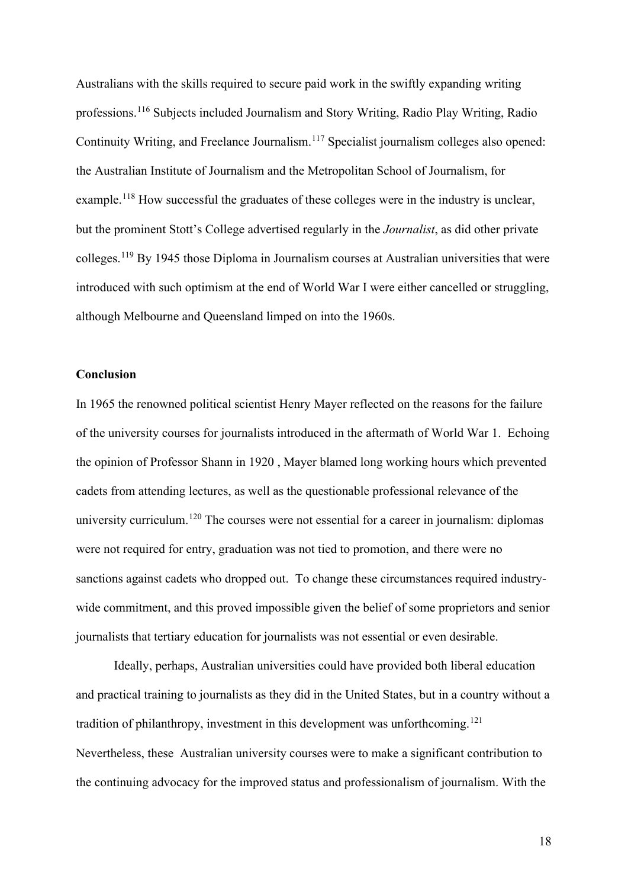Australians with the skills required to secure paid work in the swiftly expanding writing professions.[116](#page-26-3) Subjects included Journalism and Story Writing, Radio Play Writing, Radio Continuity Writing, and Freelance Journalism.[117](#page-26-4) Specialist journalism colleges also opened: the Australian Institute of Journalism and the Metropolitan School of Journalism, for example.<sup>[118](#page-26-5)</sup> How successful the graduates of these colleges were in the industry is unclear, but the prominent Stott's College advertised regularly in the *Journalist*, as did other private colleges.[119](#page-26-6) By 1945 those Diploma in Journalism courses at Australian universities that were introduced with such optimism at the end of World War I were either cancelled or struggling, although Melbourne and Queensland limped on into the 1960s.

## **Conclusion**

In 1965 the renowned political scientist Henry Mayer reflected on the reasons for the failure of the university courses for journalists introduced in the aftermath of World War 1. Echoing the opinion of Professor Shann in 1920 , Mayer blamed long working hours which prevented cadets from attending lectures, as well as the questionable professional relevance of the university curriculum.<sup>[120](#page-26-7)</sup> The courses were not essential for a career in journalism: diplomas were not required for entry, graduation was not tied to promotion, and there were no sanctions against cadets who dropped out. To change these circumstances required industrywide commitment, and this proved impossible given the belief of some proprietors and senior journalists that tertiary education for journalists was not essential or even desirable.

Ideally, perhaps, Australian universities could have provided both liberal education and practical training to journalists as they did in the United States, but in a country without a tradition of philanthropy, investment in this development was unforthcoming.<sup>[121](#page-27-0)</sup> Nevertheless, these Australian university courses were to make a significant contribution to the continuing advocacy for the improved status and professionalism of journalism. With the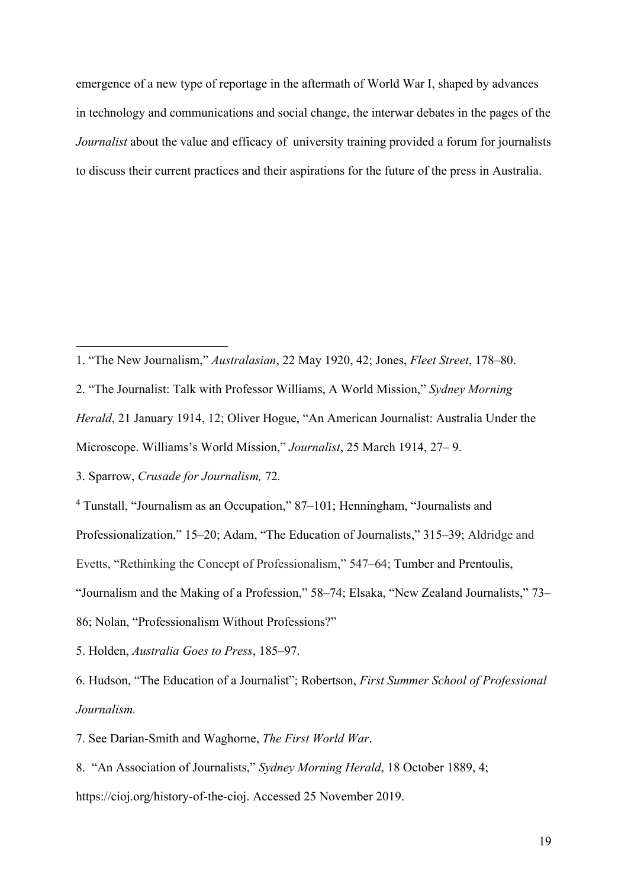emergence of a new type of reportage in the aftermath of World War I, shaped by advances in technology and communications and social change, the interwar debates in the pages of the *Journalist* about the value and efficacy of university training provided a forum for journalists to discuss their current practices and their aspirations for the future of the press in Australia.

- <span id="page-18-0"></span>1. "The New Journalism," *Australasian*, 22 May 1920, 42; Jones, *Fleet Street*, 178–80.
- <span id="page-18-1"></span>2. "The Journalist: Talk with Professor Williams, A World Mission," *Sydney Morning*

*Herald*, 21 January 1914, 12; Oliver Hogue, "An American Journalist: Australia Under the

Microscope. Williams's World Mission," *Journalist*, 25 March 1914, 27– 9.

<span id="page-18-2"></span>3. Sparrow, *Crusade for Journalism,* 72*.* 

<span id="page-18-3"></span><sup>4</sup> Tunstall, "Journalism as an Occupation," 87–101; Henningham, "Journalists and

Professionalization," 15–20; Adam, "The Education of Journalists," 315–39; Aldridge and

Evetts, "Rethinking the Concept of Professionalism," 547–64; Tumber and Prentoulis,

"Journalism and the Making of a Profession," 58–74; Elsaka, "New Zealand Journalists," 73–

86; Nolan, "Professionalism Without Professions?"

<span id="page-18-4"></span>5. Holden, *Australia Goes to Press*, 185–97.

<span id="page-18-5"></span>6. Hudson, "The Education of a Journalist"; Robertson, *First Summer School of Professional Journalism.*

<span id="page-18-6"></span>7. See Darian-Smith and Waghorne, *The First World War*.

<span id="page-18-7"></span>8. "An Association of Journalists," *Sydney Morning Herald*, 18 October 1889, 4; https://cioj.org/history-of-the-cioj. Accessed 25 November 2019.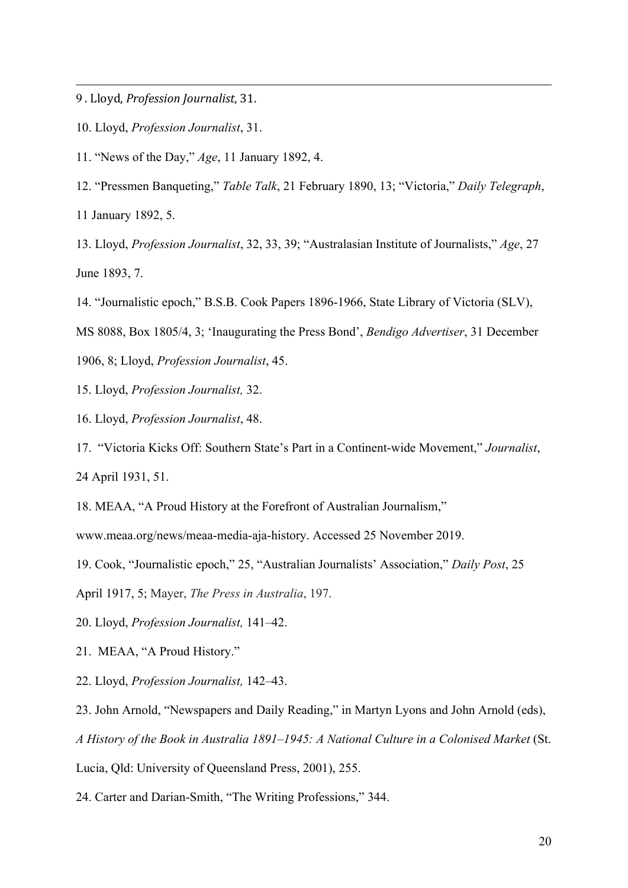<span id="page-19-0"></span>9 . Lloyd, *Profession Journalist*, 31.

- <span id="page-19-1"></span>10. Lloyd, *Profession Journalist*, 31.
- <span id="page-19-2"></span>11. "News of the Day," *Age*, 11 January 1892, 4.
- <span id="page-19-3"></span>12. "Pressmen Banqueting," *Table Talk*, 21 February 1890, 13; "Victoria," *Daily Telegraph*,

11 January 1892, 5.

<span id="page-19-4"></span>13. Lloyd, *Profession Journalist*, 32, 33, 39; "Australasian Institute of Journalists," *Age*, 27 June 1893, 7.

<span id="page-19-5"></span>14. "Journalistic epoch," B.S.B. Cook Papers 1896-1966, State Library of Victoria (SLV),

MS 8088, Box 1805/4, 3; 'Inaugurating the Press Bond', *Bendigo Advertiser*, 31 December

1906, 8; Lloyd, *Profession Journalist*, 45.

<span id="page-19-6"></span>15. Lloyd, *Profession Journalist,* 32.

<span id="page-19-7"></span>16. Lloyd, *Profession Journalist*, 48.

<span id="page-19-8"></span>17. "Victoria Kicks Off: Southern State's Part in a Continent-wide Movement," *Journalist*, 24 April 1931, 51.

<span id="page-19-9"></span>18. MEAA, "A Proud History at the Forefront of Australian Journalism,"

www.meaa.org/news/meaa-media-aja-history. Accessed 25 November 2019.

<span id="page-19-10"></span>19. Cook, "Journalistic epoch," 25, "Australian Journalists' Association," *Daily Post*, 25

April 1917, 5; Mayer, *The Press in Australia*, 197.

<span id="page-19-11"></span>20. Lloyd, *Profession Journalist,* 141–42.

<span id="page-19-12"></span>21. MEAA, "A Proud History."

<span id="page-19-13"></span>22. Lloyd, *Profession Journalist,* 142–43.

<span id="page-19-14"></span>23. John Arnold, "Newspapers and Daily Reading," in Martyn Lyons and John Arnold (eds),

*A History of the Book in Australia 1891–1945: A National Culture in a Colonised Market* (St.

Lucia, Qld: University of Queensland Press, 2001), 255.

<span id="page-19-15"></span>24. Carter and Darian-Smith, "The Writing Professions," 344.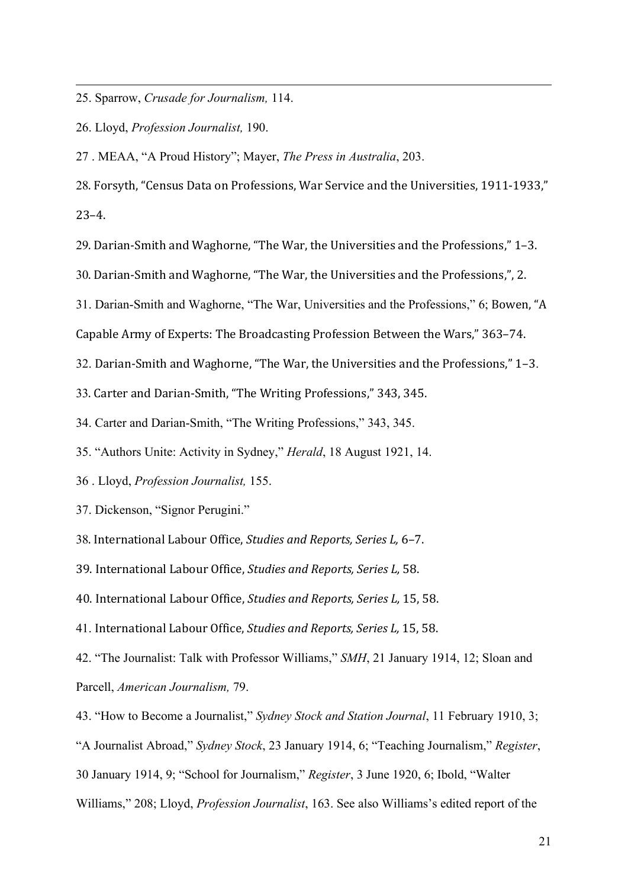<span id="page-20-0"></span>25. Sparrow, *Crusade for Journalism,* 114.

<span id="page-20-1"></span>26. Lloyd, *Profession Journalist,* 190.

<span id="page-20-2"></span>27 . MEAA, "A Proud History"; Mayer, *The Press in Australia*, 203.

<span id="page-20-3"></span>28. Forsyth, "Census Data on Professions, War Service and the Universities, 1911-1933,"

23–4.

<span id="page-20-4"></span>29. Darian-Smith and Waghorne, "The War, the Universities and the Professions," 1–3.

<span id="page-20-5"></span>30. Darian-Smith and Waghorne, "The War, the Universities and the Professions,", 2.

<span id="page-20-6"></span>31. Darian-Smith and Waghorne, "The War, Universities and the Professions," 6; Bowen, "A

Capable Army of Experts: The Broadcasting Profession Between the Wars," 363–74.

<span id="page-20-7"></span>32. Darian-Smith and Waghorne, "The War, the Universities and the Professions," 1–3.

<span id="page-20-8"></span>33. Carter and Darian-Smith, "The Writing Professions," 343, 345.

<span id="page-20-9"></span>34. Carter and Darian-Smith, "The Writing Professions," 343, 345.

<span id="page-20-10"></span>35. "Authors Unite: Activity in Sydney," *Herald*, 18 August 1921, 14.

<span id="page-20-11"></span>36 . Lloyd, *Profession Journalist,* 155.

<span id="page-20-12"></span>37. Dickenson, "Signor Perugini."

<span id="page-20-13"></span>38. International Labour Office, *Studies and Reports, Series L,* 6–7.

<span id="page-20-14"></span>39. International Labour Office, *Studies and Reports, Series L,* 58.

<span id="page-20-15"></span>40. International Labour Office, *Studies and Reports, Series L,* 15, 58.

<span id="page-20-16"></span>41. International Labour Office, *Studies and Reports, Series L,* 15, 58.

<span id="page-20-17"></span>42. "The Journalist: Talk with Professor Williams," *SMH*, 21 January 1914, 12; Sloan and Parcell, *American Journalism,* 79.

<span id="page-20-18"></span>43. "How to Become a Journalist," *Sydney Stock and Station Journal*, 11 February 1910, 3;

"A Journalist Abroad," *Sydney Stock*, 23 January 1914, 6; "Teaching Journalism," *Register*,

30 January 1914, 9; "School for Journalism," *Register*, 3 June 1920, 6; Ibold, "Walter

Williams," 208; Lloyd, *Profession Journalist*, 163. See also Williams's edited report of the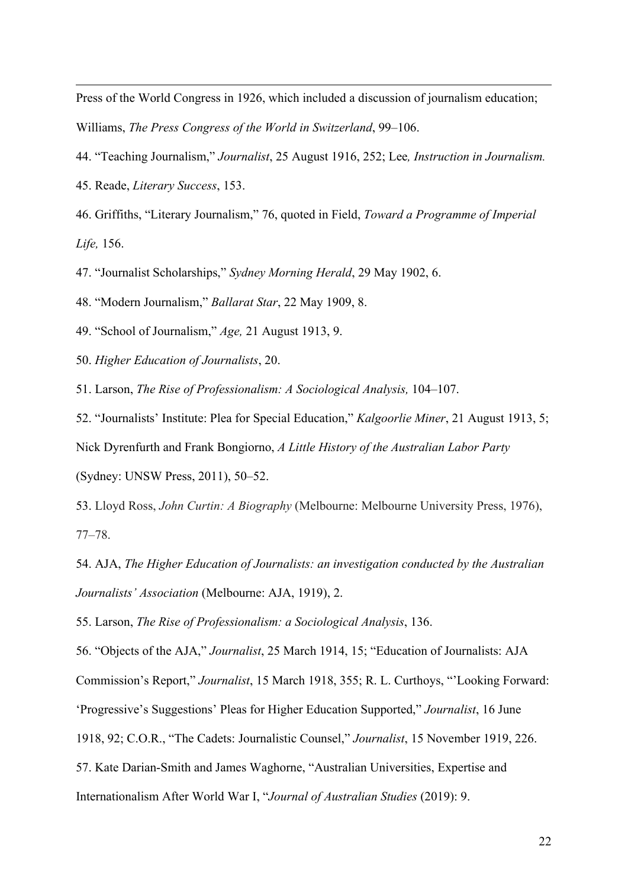Press of the World Congress in 1926, which included a discussion of journalism education; Williams, *The Press Congress of the World in Switzerland*, 99–106.

- <span id="page-21-0"></span>44. "Teaching Journalism," *Journalist*, 25 August 1916, 252; Lee*, Instruction in Journalism.*
- <span id="page-21-1"></span>45. Reade, *Literary Success*, 153.

<span id="page-21-2"></span>46. Griffiths, "Literary Journalism," 76, quoted in Field, *Toward a Programme of Imperial Life,* 156.

<span id="page-21-3"></span>47. "Journalist Scholarships," *Sydney Morning Herald*, 29 May 1902, 6.

<span id="page-21-4"></span>48. "Modern Journalism," *Ballarat Star*, 22 May 1909, 8.

<span id="page-21-5"></span>49. "School of Journalism," *Age,* 21 August 1913, 9.

<span id="page-21-6"></span>50. *Higher Education of Journalists*, 20.

<span id="page-21-7"></span>51. Larson, *The Rise of Professionalism: A Sociological Analysis,* 104–107.

<span id="page-21-8"></span>52. "Journalists' Institute: Plea for Special Education," *Kalgoorlie Miner*, 21 August 1913, 5; Nick Dyrenfurth and Frank Bongiorno, *A Little History of the Australian Labor Party* (Sydney: UNSW Press, 2011), 50–52.

<span id="page-21-9"></span>53. Lloyd Ross, *John Curtin: A Biography* (Melbourne: Melbourne University Press, 1976), 77–78.

<span id="page-21-10"></span>54. AJA, *The Higher Education of Journalists: an investigation conducted by the Australian Journalists' Association* (Melbourne: AJA, 1919), 2.

<span id="page-21-11"></span>55. Larson, *The Rise of Professionalism: a Sociological Analysis*, 136.

<span id="page-21-12"></span>56. "Objects of the AJA," *Journalist*, 25 March 1914, 15; "Education of Journalists: AJA

Commission's Report," *Journalist*, 15 March 1918, 355; R. L. Curthoys, "'Looking Forward:

'Progressive's Suggestions' Pleas for Higher Education Supported," *Journalist*, 16 June

1918, 92; C.O.R., "The Cadets: Journalistic Counsel," *Journalist*, 15 November 1919, 226.

<span id="page-21-13"></span>57. Kate Darian-Smith and James Waghorne, "Australian Universities, Expertise and

Internationalism After World War I, "*Journal of Australian Studies* (2019): 9.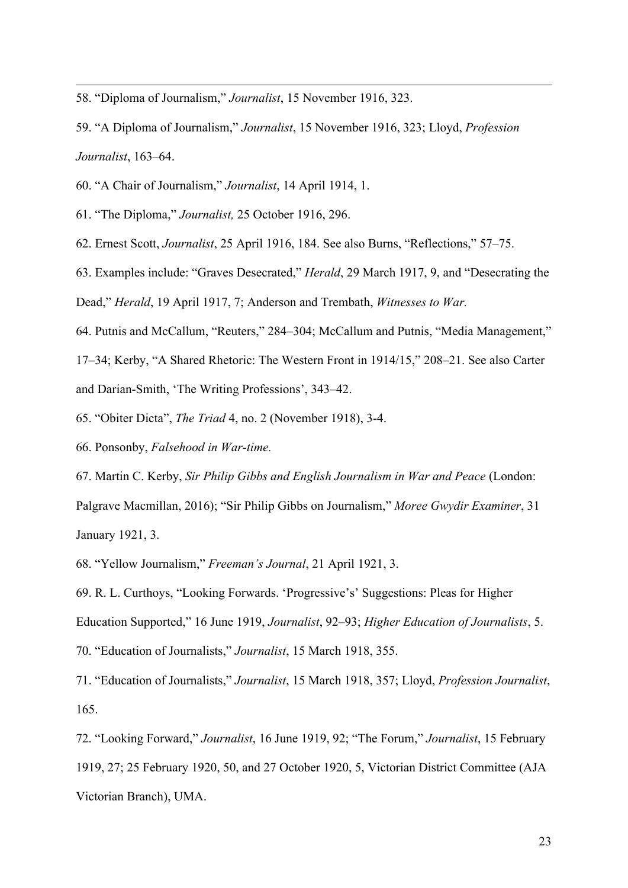- <span id="page-22-0"></span>58. "Diploma of Journalism," *Journalist*, 15 November 1916, 323.
- <span id="page-22-1"></span>59. "A Diploma of Journalism," *Journalist*, 15 November 1916, 323; Lloyd, *Profession Journalist*, 163–64.
- <span id="page-22-2"></span>60. "A Chair of Journalism," *Journalist*, 14 April 1914, 1.
- <span id="page-22-3"></span>61. "The Diploma," *Journalist,* 25 October 1916, 296.
- <span id="page-22-4"></span>62. Ernest Scott, *Journalist*, 25 April 1916, 184. See also Burns, "Reflections," 57–75.
- <span id="page-22-5"></span>63. Examples include: "Graves Desecrated," *Herald*, 29 March 1917, 9, and "Desecrating the
- Dead," *Herald*, 19 April 1917, 7; Anderson and Trembath, *Witnesses to War.*
- <span id="page-22-6"></span>64. Putnis and McCallum, "Reuters," 284–304; McCallum and Putnis, "Media Management,"

17–34; Kerby, "A Shared Rhetoric: The Western Front in 1914/15," 208–21. See also Carter and Darian-Smith, 'The Writing Professions', 343–42.

- <span id="page-22-7"></span>65. "Obiter Dicta", *The Triad* 4, no. 2 (November 1918), 3-4.
- <span id="page-22-8"></span>66. Ponsonby, *Falsehood in War-time.*

<span id="page-22-9"></span>67. Martin C. Kerby, *Sir Philip Gibbs and English Journalism in War and Peace* (London: Palgrave Macmillan, 2016); "Sir Philip Gibbs on Journalism," *Moree Gwydir Examiner*, 31 January 1921, 3.

<span id="page-22-10"></span>68. "Yellow Journalism," *Freeman's Journal*, 21 April 1921, 3.

<span id="page-22-11"></span>69. R. L. Curthoys, "Looking Forwards. 'Progressive's' Suggestions: Pleas for Higher Education Supported," 16 June 1919, *Journalist*, 92–93; *Higher Education of Journalists*, 5. 70. "Education of Journalists," *Journalist*, 15 March 1918, 355.

<span id="page-22-13"></span><span id="page-22-12"></span>71. "Education of Journalists," *Journalist*, 15 March 1918, 357; Lloyd, *Profession Journalist*, 165.

<span id="page-22-14"></span>72. "Looking Forward," *Journalist*, 16 June 1919, 92; "The Forum," *Journalist*, 15 February 1919, 27; 25 February 1920, 50, and 27 October 1920, 5, Victorian District Committee (AJA Victorian Branch), UMA.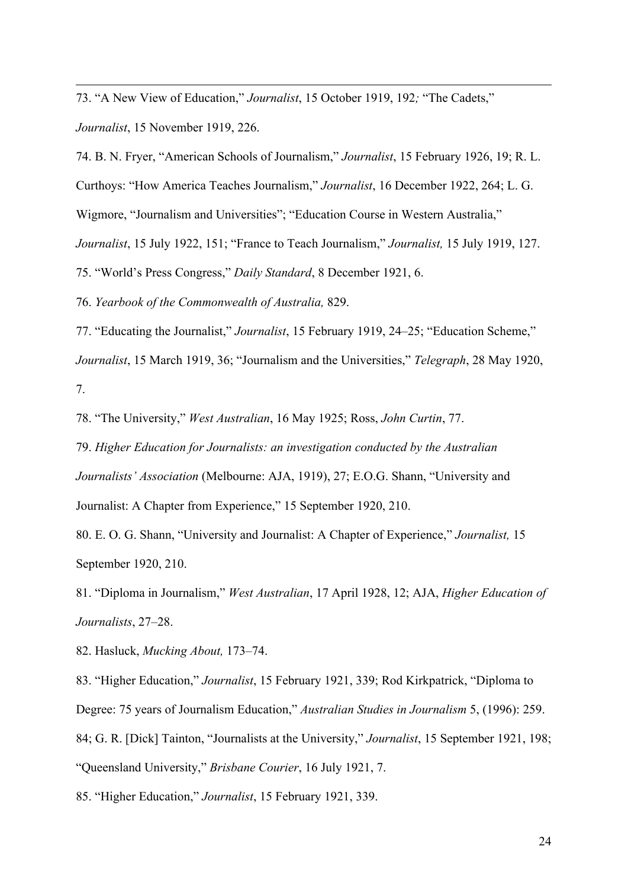<span id="page-23-0"></span>73. "A New View of Education," *Journalist*, 15 October 1919, 192*;* "The Cadets," *Journalist*, 15 November 1919, 226.

<span id="page-23-1"></span>74. B. N. Fryer, "American Schools of Journalism," *Journalist*, 15 February 1926, 19; R. L.

Curthoys: "How America Teaches Journalism," *Journalist*, 16 December 1922, 264; L. G.

Wigmore, "Journalism and Universities"; "Education Course in Western Australia,"

*Journalist*, 15 July 1922, 151; "France to Teach Journalism," *Journalist,* 15 July 1919, 127.

<span id="page-23-2"></span>75. "World's Press Congress," *Daily Standard*, 8 December 1921, 6.

<span id="page-23-3"></span>76. *Yearbook of the Commonwealth of Australia,* 829.

<span id="page-23-4"></span>77. "Educating the Journalist," *Journalist*, 15 February 1919, 24–25; "Education Scheme,"

*Journalist*, 15 March 1919, 36; "Journalism and the Universities," *Telegraph*, 28 May 1920, 7.

<span id="page-23-5"></span>78. "The University," *West Australian*, 16 May 1925; Ross, *John Curtin*, 77.

<span id="page-23-6"></span>79. *Higher Education for Journalists: an investigation conducted by the Australian Journalists' Association* (Melbourne: AJA, 1919), 27; E.O.G. Shann, "University and Journalist: A Chapter from Experience," 15 September 1920, 210.

<span id="page-23-7"></span>80. E. O. G. Shann, "University and Journalist: A Chapter of Experience," *Journalist,* 15 September 1920, 210.

<span id="page-23-8"></span>81. "Diploma in Journalism," *West Australian*, 17 April 1928, 12; AJA, *Higher Education of Journalists*, 27–28.

<span id="page-23-9"></span>82. Hasluck, *Mucking About,* 173–74.

<span id="page-23-11"></span><span id="page-23-10"></span>83. "Higher Education," *Journalist*, 15 February 1921, 339; Rod Kirkpatrick, "Diploma to Degree: 75 years of Journalism Education," *Australian Studies in Journalism* 5, (1996): 259. 84; G. R. [Dick] Tainton, "Journalists at the University," *Journalist*, 15 September 1921, 198; "Queensland University," *Brisbane Courier*, 16 July 1921, 7.

<span id="page-23-12"></span>85. "Higher Education," *Journalist*, 15 February 1921, 339.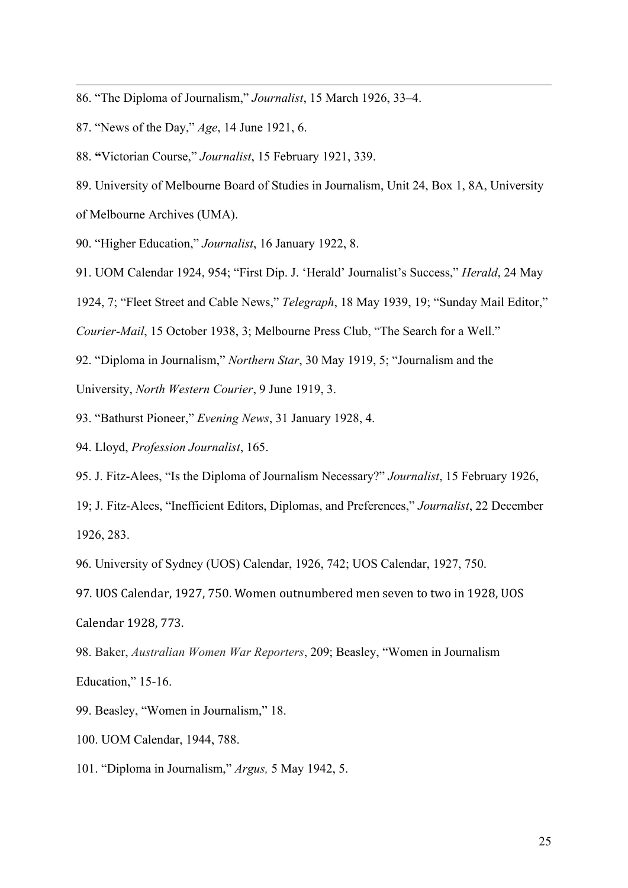- <span id="page-24-0"></span>86. "The Diploma of Journalism," *Journalist*, 15 March 1926, 33–4.
- <span id="page-24-1"></span>87. "News of the Day," *Age*, 14 June 1921, 6.
- <span id="page-24-2"></span>88. **"**Victorian Course," *Journalist*, 15 February 1921, 339.
- <span id="page-24-3"></span>89. University of Melbourne Board of Studies in Journalism, Unit 24, Box 1, 8A, University of Melbourne Archives (UMA).
- <span id="page-24-4"></span>90. "Higher Education," *Journalist*, 16 January 1922, 8.
- <span id="page-24-5"></span>91. UOM Calendar 1924, 954; "First Dip. J. 'Herald' Journalist's Success," *Herald*, 24 May
- 1924, 7; "Fleet Street and Cable News," *Telegraph*, 18 May 1939, 19; "Sunday Mail Editor,"

*Courier-Mail*, 15 October 1938, 3; Melbourne Press Club, "The Search for a Well."

<span id="page-24-6"></span>92. "Diploma in Journalism," *Northern Star*, 30 May 1919, 5; "Journalism and the University, *North Western Courier*, 9 June 1919, 3.

- <span id="page-24-7"></span>93. "Bathurst Pioneer," *Evening News*, 31 January 1928, 4.
- <span id="page-24-8"></span>94. Lloyd, *Profession Journalist*, 165.
- <span id="page-24-9"></span>95. J. Fitz-Alees, "Is the Diploma of Journalism Necessary?" *Journalist*, 15 February 1926,

19; J. Fitz-Alees, "Inefficient Editors, Diplomas, and Preferences," *Journalist*, 22 December 1926, 283.

<span id="page-24-10"></span>96. University of Sydney (UOS) Calendar, 1926, 742; UOS Calendar, 1927, 750.

<span id="page-24-11"></span>97. UOS Calendar, 1927, 750. Women outnumbered men seven to two in 1928, UOS Calendar 1928, 773.

<span id="page-24-12"></span>98. Baker, *Australian Women War Reporters*, 209; Beasley, "Women in Journalism Education," 15-16.

- <span id="page-24-13"></span>99. Beasley, "Women in Journalism," 18.
- <span id="page-24-14"></span>100. UOM Calendar, 1944, 788.

<span id="page-24-15"></span>101. "Diploma in Journalism," *Argus,* 5 May 1942, 5.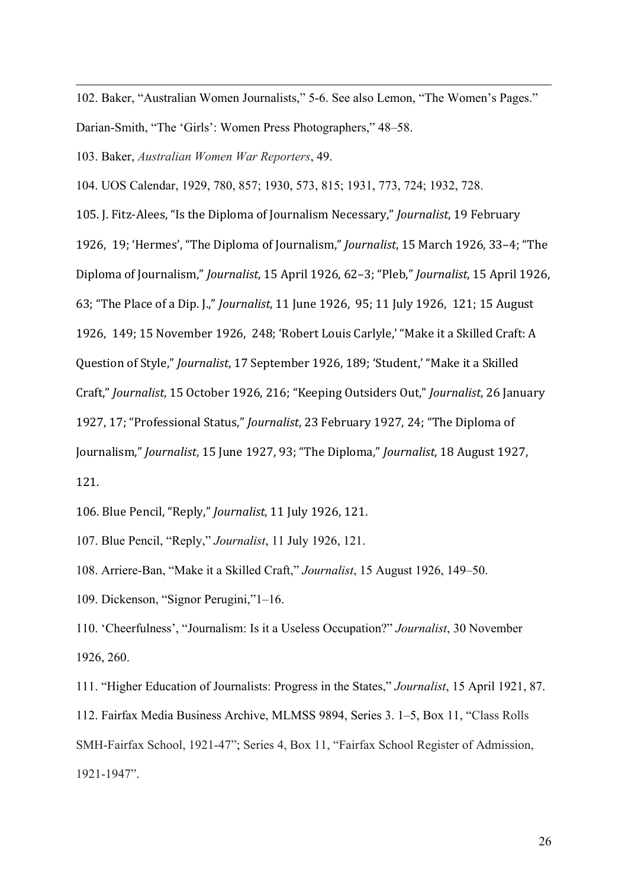<span id="page-25-0"></span>102. Baker, "Australian Women Journalists," 5-6. See also Lemon, "The Women's Pages."

Darian-Smith, "The 'Girls': Women Press Photographers," 48–58.

<span id="page-25-1"></span>103. Baker, *Australian Women War Reporters*, 49.

<span id="page-25-2"></span>104. UOS Calendar, 1929, 780, 857; 1930, 573, 815; 1931, 773, 724; 1932, 728.

<span id="page-25-3"></span>105. J. Fitz-Alees, "Is the Diploma of Journalism Necessary," *Journalist*, 19 February 1926, 19; 'Hermes', "The Diploma of Journalism," *Journalist*, 15 March 1926, 33–4; "The Diploma of Journalism," *Journalist*, 15 April 1926, 62–3; "Pleb," *Journalist*, 15 April 1926, 63; "The Place of a Dip. J.," *Journalist*, 11 June 1926, 95; 11 July 1926, 121; 15 August 1926, 149; 15 November 1926, 248; 'Robert Louis Carlyle,' "Make it a Skilled Craft: A Question of Style," *Journalist*, 17 September 1926, 189; 'Student,' "Make it a Skilled Craft," *Journalist*, 15 October 1926, 216; "Keeping Outsiders Out," *Journalist*, 26 January 1927, 17; "Professional Status," *Journalist*, 23 February 1927, 24; "The Diploma of Journalism," *Journalist*, 15 June 1927, 93; "The Diploma," *Journalist*, 18 August 1927, 121.

<span id="page-25-4"></span>106. Blue Pencil, "Reply," *Journalist*, 11 July 1926, 121.

<span id="page-25-5"></span>107. Blue Pencil, "Reply," *Journalist*, 11 July 1926, 121.

<span id="page-25-6"></span>108. Arriere-Ban, "Make it a Skilled Craft," *Journalist*, 15 August 1926, 149–50.

<span id="page-25-7"></span>109. Dickenson, "Signor Perugini,"1–16.

<span id="page-25-8"></span>110. 'Cheerfulness', "Journalism: Is it a Useless Occupation?" *Journalist*, 30 November 1926, 260.

<span id="page-25-10"></span><span id="page-25-9"></span>111. "Higher Education of Journalists: Progress in the States," *Journalist*, 15 April 1921, 87. 112. Fairfax Media Business Archive, MLMSS 9894, Series 3. 1–5, Box 11, "Class Rolls SMH-Fairfax School, 1921-47"; Series 4, Box 11, "Fairfax School Register of Admission, 1921-1947".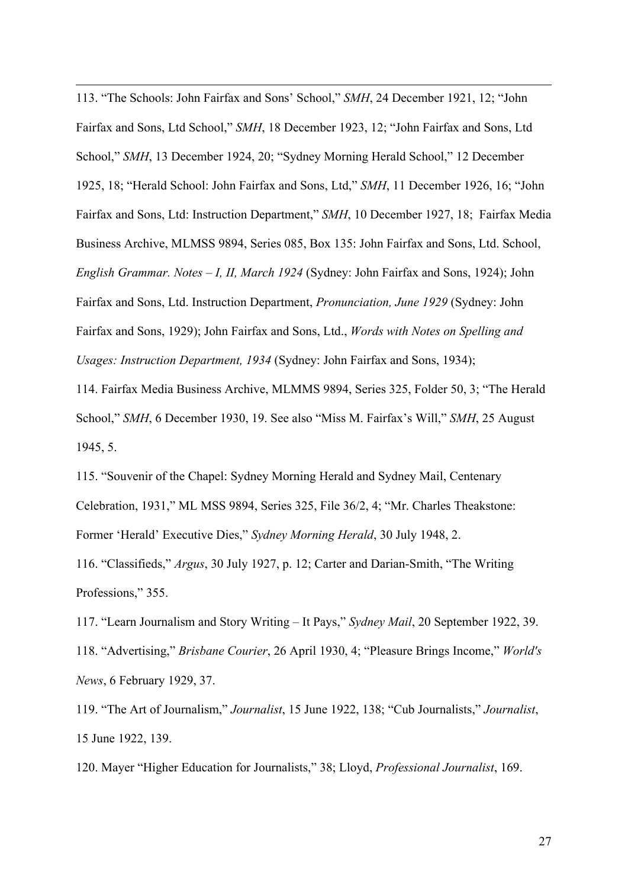<span id="page-26-0"></span>113. "The Schools: John Fairfax and Sons' School," *SMH*, 24 December 1921, 12; "John Fairfax and Sons, Ltd School," *SMH*, 18 December 1923, 12; "John Fairfax and Sons, Ltd School," *SMH*, 13 December 1924, 20; "Sydney Morning Herald School," 12 December 1925, 18; "Herald School: John Fairfax and Sons, Ltd," *SMH*, 11 December 1926, 16; "John Fairfax and Sons, Ltd: Instruction Department," *SMH*, 10 December 1927, 18; Fairfax Media Business Archive, MLMSS 9894, Series 085, Box 135: John Fairfax and Sons, Ltd. School, *English Grammar. Notes – I, II, March 1924* (Sydney: John Fairfax and Sons, 1924); John Fairfax and Sons, Ltd. Instruction Department, *Pronunciation, June 1929* (Sydney: John Fairfax and Sons, 1929); John Fairfax and Sons, Ltd., *Words with Notes on Spelling and Usages: Instruction Department, 1934* (Sydney: John Fairfax and Sons, 1934);

<span id="page-26-1"></span>114. Fairfax Media Business Archive, MLMMS 9894, Series 325, Folder 50, 3; "The Herald School," *SMH*, 6 December 1930, 19. See also "Miss M. Fairfax's Will," *SMH*, 25 August 1945, 5.

<span id="page-26-2"></span>115. "Souvenir of the Chapel: Sydney Morning Herald and Sydney Mail, Centenary Celebration, 1931," ML MSS 9894, Series 325, File 36/2, 4; "Mr. Charles Theakstone: Former 'Herald' Executive Dies," *Sydney Morning Herald*, 30 July 1948, 2.

<span id="page-26-3"></span>116. "Classifieds," *Argus*, 30 July 1927, p. 12; Carter and Darian-Smith, "The Writing Professions," 355.

<span id="page-26-5"></span><span id="page-26-4"></span>117. "Learn Journalism and Story Writing – It Pays," *Sydney Mail*, 20 September 1922, 39. 118. "Advertising," *Brisbane Courier*, 26 April 1930, 4; "Pleasure Brings Income," *World's News*, 6 February 1929, 37.

<span id="page-26-6"></span>119. "The Art of Journalism," *Journalist*, 15 June 1922, 138; "Cub Journalists," *Journalist*, 15 June 1922, 139.

<span id="page-26-7"></span>120. Mayer "Higher Education for Journalists," 38; Lloyd, *Professional Journalist*, 169.